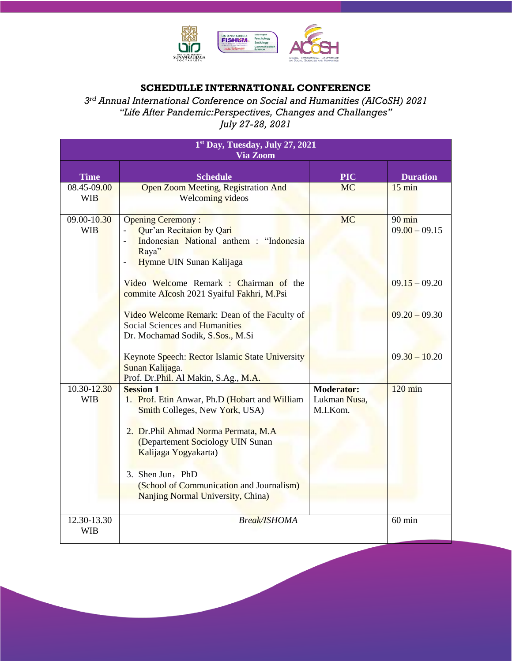

## **SCHEDULLE INTERNATIONAL CONFERENCE**

*3 rd Annual International Conference on Social and Humanities (AICoSH) 2021 "Life After Pandemic:Perspectives, Changes and Challanges" July 27-28, 2021*

| 1st Day, Tuesday, July 27, 2021<br><b>Via Zoom</b> |                                                                                                                                                                                                                                                                                                                                                                                                             |                                               |                                                                                              |  |
|----------------------------------------------------|-------------------------------------------------------------------------------------------------------------------------------------------------------------------------------------------------------------------------------------------------------------------------------------------------------------------------------------------------------------------------------------------------------------|-----------------------------------------------|----------------------------------------------------------------------------------------------|--|
| <b>Time</b>                                        | <b>Schedule</b>                                                                                                                                                                                                                                                                                                                                                                                             | <b>PIC</b>                                    | <b>Duration</b>                                                                              |  |
| 08.45-09.00<br><b>WIB</b>                          | <b>Open Zoom Meeting, Registration And</b><br><b>Welcoming videos</b>                                                                                                                                                                                                                                                                                                                                       | <b>MC</b>                                     | $15 \text{ min}$                                                                             |  |
| 09.00-10.30<br><b>WIB</b>                          | <b>Opening Ceremony:</b><br>Qur'an Recitaion by Qari<br>Indonesian National anthem : "Indonesia<br>Raya"<br>Hymne UIN Sunan Kalijaga<br>Video Welcome Remark : Chairman of the<br>commite AIcosh 2021 Syaiful Fakhri, M.Psi<br>Video Welcome Remark: Dean of the Faculty of<br><b>Social Sciences and Humanities</b><br>Dr. Mochamad Sodik, S.Sos., M.Si<br>Keynote Speech: Rector Islamic State University | <b>MC</b>                                     | $90 \text{ min}$<br>$09.00 - 09.15$<br>$09.15 - 09.20$<br>$09.20 - 09.30$<br>$09.30 - 10.20$ |  |
|                                                    | Sunan Kalijaga.<br>Prof. Dr.Phil. Al Makin, S.Ag., M.A.                                                                                                                                                                                                                                                                                                                                                     |                                               |                                                                                              |  |
| 10.30-12.30<br><b>WIB</b>                          | <b>Session 1</b><br>1. Prof. Etin Anwar, Ph.D (Hobart and William<br>Smith Colleges, New York, USA)<br>2. Dr.Phil Ahmad Norma Permata, M.A.<br>(Departement Sociology UIN Sunan<br>Kalijaga Yogyakarta)<br>3. Shen Jun, PhD<br>(School of Communication and Journalism)<br><b>Nanjing Normal University, China)</b>                                                                                         | <b>Moderator:</b><br>Lukman Nusa,<br>M.I.Kom. | $120 \text{ min}$                                                                            |  |
| $12.30 - 13.30$<br><b>WIB</b>                      | <b>Break/ISHOMA</b>                                                                                                                                                                                                                                                                                                                                                                                         |                                               | $60$ min                                                                                     |  |